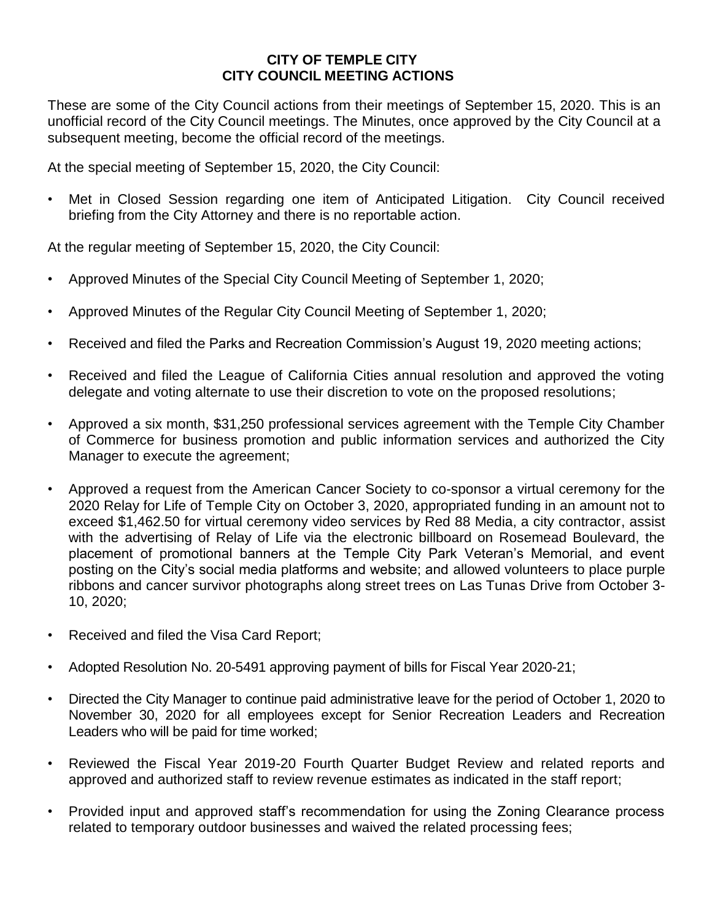## **CITY OF TEMPLE CITY CITY COUNCIL MEETING ACTIONS**

These are some of the City Council actions from their meetings of September 15, 2020. This is an unofficial record of the City Council meetings. The Minutes, once approved by the City Council at a subsequent meeting, become the official record of the meetings.

At the special meeting of September 15, 2020, the City Council:

• Met in Closed Session regarding one item of Anticipated Litigation. City Council received briefing from the City Attorney and there is no reportable action.

At the regular meeting of September 15, 2020, the City Council:

- Approved Minutes of the Special City Council Meeting of September 1, 2020;
- Approved Minutes of the Regular City Council Meeting of September 1, 2020;
- Received and filed the Parks and Recreation Commission's August 19, 2020 meeting actions;
- Received and filed the League of California Cities annual resolution and approved the voting delegate and voting alternate to use their discretion to vote on the proposed resolutions;
- Approved a six month, \$31,250 professional services agreement with the Temple City Chamber of Commerce for business promotion and public information services and authorized the City Manager to execute the agreement;
- Approved a request from the American Cancer Society to co-sponsor a virtual ceremony for the 2020 Relay for Life of Temple City on October 3, 2020, appropriated funding in an amount not to exceed \$1,462.50 for virtual ceremony video services by Red 88 Media, a city contractor, assist with the advertising of Relay of Life via the electronic billboard on Rosemead Boulevard, the placement of promotional banners at the Temple City Park Veteran's Memorial, and event posting on the City's social media platforms and website; and allowed volunteers to place purple ribbons and cancer survivor photographs along street trees on Las Tunas Drive from October 3- 10, 2020;
- Received and filed the Visa Card Report;
- Adopted Resolution No. 20-5491 approving payment of bills for Fiscal Year 2020-21;
- Directed the City Manager to continue paid administrative leave for the period of October 1, 2020 to November 30, 2020 for all employees except for Senior Recreation Leaders and Recreation Leaders who will be paid for time worked;
- Reviewed the Fiscal Year 2019-20 Fourth Quarter Budget Review and related reports and approved and authorized staff to review revenue estimates as indicated in the staff report;
- Provided input and approved staff's recommendation for using the Zoning Clearance process related to temporary outdoor businesses and waived the related processing fees;